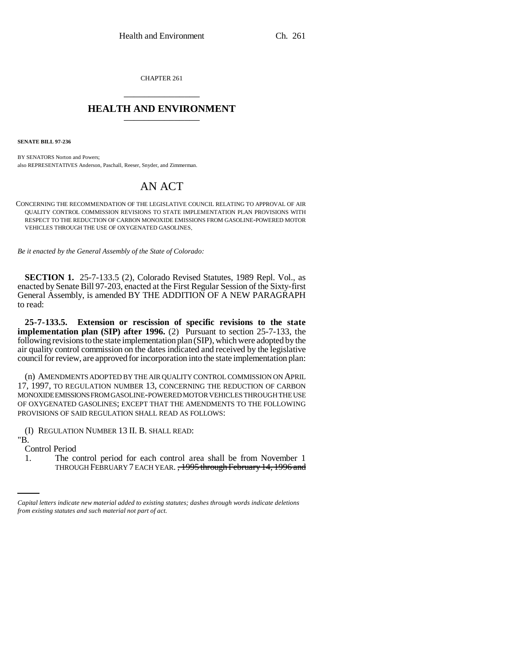CHAPTER 261 \_\_\_\_\_\_\_\_\_\_\_\_\_\_\_

## **HEALTH AND ENVIRONMENT** \_\_\_\_\_\_\_\_\_\_\_\_\_\_\_

**SENATE BILL 97-236**

BY SENATORS Norton and Powers; also REPRESENTATIVES Anderson, Paschall, Reeser, Snyder, and Zimmerman.

# AN ACT

CONCERNING THE RECOMMENDATION OF THE LEGISLATIVE COUNCIL RELATING TO APPROVAL OF AIR QUALITY CONTROL COMMISSION REVISIONS TO STATE IMPLEMENTATION PLAN PROVISIONS WITH RESPECT TO THE REDUCTION OF CARBON MONOXIDE EMISSIONS FROM GASOLINE-POWERED MOTOR VEHICLES THROUGH THE USE OF OXYGENATED GASOLINES.

*Be it enacted by the General Assembly of the State of Colorado:*

**SECTION 1.** 25-7-133.5 (2), Colorado Revised Statutes, 1989 Repl. Vol., as enacted by Senate Bill 97-203, enacted at the First Regular Session of the Sixty-first General Assembly, is amended BY THE ADDITION OF A NEW PARAGRAPH to read:

**25-7-133.5. Extension or rescission of specific revisions to the state implementation plan (SIP) after 1996.** (2) Pursuant to section 25-7-133, the following revisions to the state implementation plan (SIP), which were adopted by the air quality control commission on the dates indicated and received by the legislative council for review, are approved for incorporation into the state implementation plan:

(n) AMENDMENTS ADOPTED BY THE AIR QUALITY CONTROL COMMISSION ON APRIL 17, 1997, TO REGULATION NUMBER 13, CONCERNING THE REDUCTION OF CARBON MONOXIDE EMISSIONS FROM GASOLINE-POWERED MOTOR VEHICLES THROUGH THE USE OF OXYGENATED GASOLINES; EXCEPT THAT THE AMENDMENTS TO THE FOLLOWING PROVISIONS OF SAID REGULATION SHALL READ AS FOLLOWS:

(I) REGULATION NUMBER 13 II. B. SHALL READ:

"B.

Control Period

1. The control period for each control area shall be from November 1 THROUGH FEBRUARY 7 EACH YEAR. , 1995 through February 14, 1996 and

*Capital letters indicate new material added to existing statutes; dashes through words indicate deletions from existing statutes and such material not part of act.*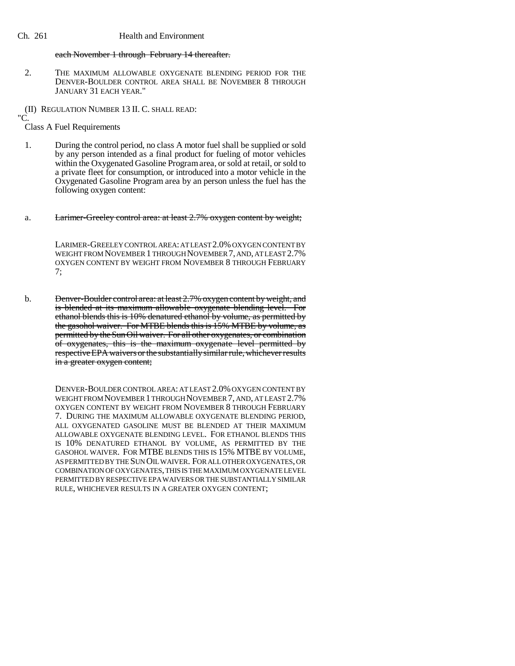#### Ch. 261 Health and Environment

#### each November 1 through February 14 thereafter.

2. THE MAXIMUM ALLOWABLE OXYGENATE BLENDING PERIOD FOR THE DENVER-BOULDER CONTROL AREA SHALL BE NOVEMBER 8 THROUGH JANUARY 31 EACH YEAR."

(II) REGULATION NUMBER 13 II. C. SHALL READ:

"C.

Class A Fuel Requirements

- 1. During the control period, no class A motor fuel shall be supplied or sold by any person intended as a final product for fueling of motor vehicles within the Oxygenated Gasoline Program area, or sold at retail, or sold to a private fleet for consumption, or introduced into a motor vehicle in the Oxygenated Gasoline Program area by an person unless the fuel has the following oxygen content:
- a. Larimer-Greeley control area: at least 2.7% oxygen content by weight;

LARIMER-GREELEY CONTROL AREA: AT LEAST 2.0% OXYGEN CONTENT BY WEIGHT FROM NOVEMBER 1 THROUGH NOVEMBER 7, AND, AT LEAST 2.7% OXYGEN CONTENT BY WEIGHT FROM NOVEMBER 8 THROUGH FEBRUARY 7;

b. <del>Denver-Boulder control area: at least 2.7% oxygen content by weight, and</del> is blended at its maximum allowable oxygenate blending level. For ethanol blends this is 10% denatured ethanol by volume, as permitted by the gasohol waiver. For MTBE blends this is 15% MTBE by volume, as permitted by the Sun Oil waiver. For all other oxygenates, or combination of oxygenates, this is the maximum oxygenate level permitted by respective EPA waivers or the substantially similar rule, whichever results in a greater oxygen content;

> DENVER-BOULDER CONTROL AREA: AT LEAST 2.0% OXYGEN CONTENT BY WEIGHT FROM NOVEMBER 1 THROUGH NOVEMBER 7, AND, AT LEAST 2.7% OXYGEN CONTENT BY WEIGHT FROM NOVEMBER 8 THROUGH FEBRUARY 7. DURING THE MAXIMUM ALLOWABLE OXYGENATE BLENDING PERIOD, ALL OXYGENATED GASOLINE MUST BE BLENDED AT THEIR MAXIMUM ALLOWABLE OXYGENATE BLENDING LEVEL. FOR ETHANOL BLENDS THIS IS 10% DENATURED ETHANOL BY VOLUME, AS PERMITTED BY THE GASOHOL WAIVER. FOR MTBE BLENDS THIS IS 15% MTBE BY VOLUME, AS PERMITTED BY THE SUN OIL WAIVER. FOR ALL OTHER OXYGENATES, OR COMBINATION OF OXYGENATES, THIS IS THE MAXIMUM OXYGENATE LEVEL PERMITTED BY RESPECTIVE EPA WAIVERS OR THE SUBSTANTIALLY SIMILAR RULE, WHICHEVER RESULTS IN A GREATER OXYGEN CONTENT;